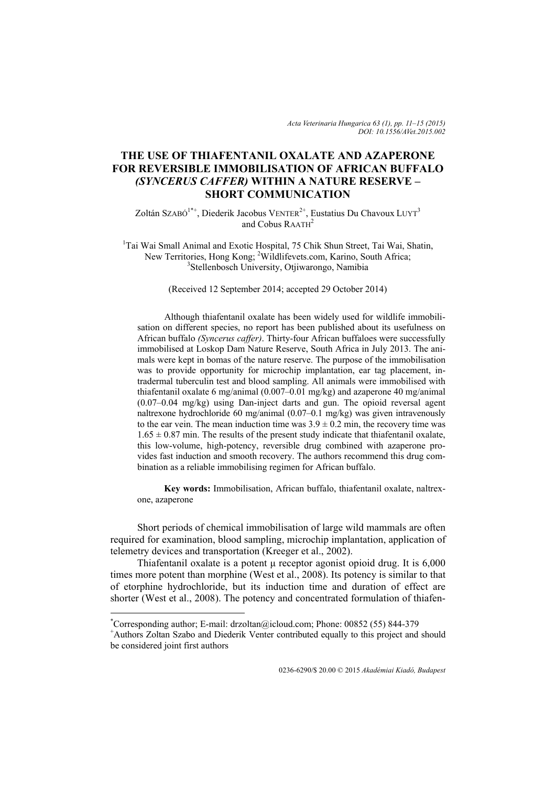# **THE USE OF THIAFENTANIL OXALATE AND AZAPERONE FOR REVERSIBLE IMMOBILISATION OF AFRICAN BUFFALO**  *(SYNCERUS CAFFER)* **WITHIN A NATURE RESERVE – SHORT COMMUNICATION**

Zoltán SzABÓ<sup>1\*+</sup>, Diederik Jacobus VENTER<sup>2+</sup>, Eustatius Du Chavoux LUYT<sup>3</sup> and Cobus RAATH<sup>2</sup>

<sup>1</sup>Tai Wai Small Animal and Exotic Hospital, 75 Chik Shun Street, Tai Wai, Shatin, New Territories, Hong Kong; <sup>2</sup>Wildlifevets.com, Karino, South Africa;<br><sup>3</sup>Stellanbosch University, Otijwarance, Nemibie <sup>3</sup>Stellenbosch University, Otjiwarongo, Namibia

## (Received 12 September 2014; accepted 29 October 2014)

Although thiafentanil oxalate has been widely used for wildlife immobilisation on different species, no report has been published about its usefulness on African buffalo *(Syncerus caffer)*. Thirty-four African buffaloes were successfully immobilised at Loskop Dam Nature Reserve, South Africa in July 2013. The animals were kept in bomas of the nature reserve. The purpose of the immobilisation was to provide opportunity for microchip implantation, ear tag placement, intradermal tuberculin test and blood sampling. All animals were immobilised with thiafentanil oxalate 6 mg/animal (0.007–0.01 mg/kg) and azaperone 40 mg/animal (0.07–0.04 mg/kg) using Dan-inject darts and gun. The opioid reversal agent naltrexone hydrochloride 60 mg/animal (0.07–0.1 mg/kg) was given intravenously to the ear vein. The mean induction time was  $3.9 \pm 0.2$  min, the recovery time was  $1.65 \pm 0.87$  min. The results of the present study indicate that thiafentanil oxalate, this low-volume, high-potency, reversible drug combined with azaperone provides fast induction and smooth recovery. The authors recommend this drug combination as a reliable immobilising regimen for African buffalo.

**Key words:** Immobilisation, African buffalo, thiafentanil oxalate, naltrexone, azaperone

Short periods of chemical immobilisation of large wild mammals are often required for examination, blood sampling, microchip implantation, application of telemetry devices and transportation (Kreeger et al., 2002).

Thiafentanil oxalate is a potent μ receptor agonist opioid drug. It is 6,000 times more potent than morphine (West et al., 2008). Its potency is similar to that of etorphine hydrochloride, but its induction time and duration of effect are shorter (West et al., 2008). The potency and concentrated formulation of thiafen-

1

<sup>\*</sup> Corresponding author; E-mail: drzoltan@icloud.com; Phone: 00852 (55) 844-379 +

Authors Zoltan Szabo and Diederik Venter contributed equally to this project and should be considered joint first authors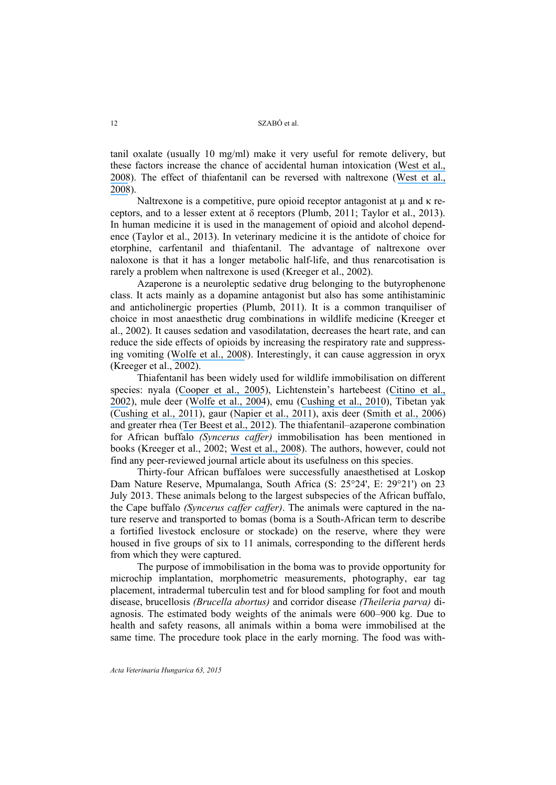tanil oxalate (usually 10 mg/ml) make it very useful for remote delivery, but these factors increase the chance of accidental human intoxication ([West et al.,](https://www.researchgate.net/publication/285355815_Zoo_Animal_and_Wildlife_Immobilization_and_Anesthesia?el=1_x_8&enrichId=rgreq-90a361c02011b18cff76529c77557037-XXX&enrichSource=Y292ZXJQYWdlOzI3MjA3OTY5ODtBUzoyMDE0MjYyMjg3ODEwNjJAMTQyNTAzNTE2Mzk0NA==) [2008](https://www.researchgate.net/publication/285355815_Zoo_Animal_and_Wildlife_Immobilization_and_Anesthesia?el=1_x_8&enrichId=rgreq-90a361c02011b18cff76529c77557037-XXX&enrichSource=Y292ZXJQYWdlOzI3MjA3OTY5ODtBUzoyMDE0MjYyMjg3ODEwNjJAMTQyNTAzNTE2Mzk0NA==)). The effect of thiafentanil can be reversed with naltrexone ([West et al.,](https://www.researchgate.net/publication/285355815_Zoo_Animal_and_Wildlife_Immobilization_and_Anesthesia?el=1_x_8&enrichId=rgreq-90a361c02011b18cff76529c77557037-XXX&enrichSource=Y292ZXJQYWdlOzI3MjA3OTY5ODtBUzoyMDE0MjYyMjg3ODEwNjJAMTQyNTAzNTE2Mzk0NA==) [2008](https://www.researchgate.net/publication/285355815_Zoo_Animal_and_Wildlife_Immobilization_and_Anesthesia?el=1_x_8&enrichId=rgreq-90a361c02011b18cff76529c77557037-XXX&enrichSource=Y292ZXJQYWdlOzI3MjA3OTY5ODtBUzoyMDE0MjYyMjg3ODEwNjJAMTQyNTAzNTE2Mzk0NA==)).

Naltrexone is a competitive, pure opioid receptor antagonist at μ and κ receptors, and to a lesser extent at δ receptors (Plumb, 2011; Taylor et al., 2013). In human medicine it is used in the management of opioid and alcohol dependence (Taylor et al., 2013). In veterinary medicine it is the antidote of choice for etorphine, carfentanil and thiafentanil. The advantage of naltrexone over naloxone is that it has a longer metabolic half-life, and thus renarcotisation is rarely a problem when naltrexone is used (Kreeger et al., 2002).

Azaperone is a neuroleptic sedative drug belonging to the butyrophenone class. It acts mainly as a dopamine antagonist but also has some antihistaminic and anticholinergic properties (Plumb, 2011). It is a common tranquiliser of choice in most anaesthetic drug combinations in wildlife medicine (Kreeger et al., 2002). It causes sedation and vasodilatation, decreases the heart rate, and can reduce the side effects of opioids by increasing the respiratory rate and suppressing vomiting ([Wolfe et al., 2008](https://www.researchgate.net/publication/23158425_Immobilization_of_Black_Bears_Ursus_americanus_with_a_Combination_of_Butorphanol_Azaperone_and_Medetomidine?el=1_x_8&enrichId=rgreq-90a361c02011b18cff76529c77557037-XXX&enrichSource=Y292ZXJQYWdlOzI3MjA3OTY5ODtBUzoyMDE0MjYyMjg3ODEwNjJAMTQyNTAzNTE2Mzk0NA==)). Interestingly, it can cause aggression in oryx (Kreeger et al., 2002).

Thiafentanil has been widely used for wildlife immobilisation on different species: nyala ([Cooper et al., 2005](https://www.researchgate.net/publication/7840481_Anaesthesia_of_nyala_Tragelaphus_angasi_with_a_combination_of_thiafentanil_A3080_medetomidine_and_ketamine?el=1_x_8&enrichId=rgreq-90a361c02011b18cff76529c77557037-XXX&enrichSource=Y292ZXJQYWdlOzI3MjA3OTY5ODtBUzoyMDE0MjYyMjg3ODEwNjJAMTQyNTAzNTE2Mzk0NA==)), Lichtenstein's hartebeest ([Citino et al.,](https://www.researchgate.net/publication/11334926_Anesthesia_of_Boma-captured_Lichtenstein) [2002](https://www.researchgate.net/publication/11334926_Anesthesia_of_Boma-captured_Lichtenstein)), mule deer ([Wolfe et al., 2004](https://www.researchgate.net/publication/8351505_Immobilization_of_Mule_deer_with_thiafentanil_A-3080_or_thiafentanil_plus_xylazine?el=1_x_8&enrichId=rgreq-90a361c02011b18cff76529c77557037-XXX&enrichSource=Y292ZXJQYWdlOzI3MjA3OTY5ODtBUzoyMDE0MjYyMjg3ODEwNjJAMTQyNTAzNTE2Mzk0NA==)), emu ([Cushing et al., 2010](https://www.researchgate.net/publication/45088457_Use_of_Thiafentanil-Medetomidine_for_the_Induction_of_Anesthesia_in_Emus_Dromaius_novaehollandiae_Within_a_Wild_Animal_Park?el=1_x_8&enrichId=rgreq-90a361c02011b18cff76529c77557037-XXX&enrichSource=Y292ZXJQYWdlOzI3MjA3OTY5ODtBUzoyMDE0MjYyMjg3ODEwNjJAMTQyNTAzNTE2Mzk0NA==)), Tibetan yak ([Cushing et al., 2011](https://www.researchgate.net/publication/51954426_Anesthesia_of_Tibetan_Yak_Bos_grunniens_Using_Thiafentanil_-_Xylazine_and_Carfentanil_-_Xylazine?el=1_x_8&enrichId=rgreq-90a361c02011b18cff76529c77557037-XXX&enrichSource=Y292ZXJQYWdlOzI3MjA3OTY5ODtBUzoyMDE0MjYyMjg3ODEwNjJAMTQyNTAzNTE2Mzk0NA==)), gaur ([Napier et al., 2011](https://www.researchgate.net/publication/230806232_Comparison_of_Carfentanil-Xylazine_and_Thiafentanil-_Medetomidine_in_Electroejaculation_of_Captive_Gaur_Bos_gaurus?el=1_x_8&enrichId=rgreq-90a361c02011b18cff76529c77557037-XXX&enrichSource=Y292ZXJQYWdlOzI3MjA3OTY5ODtBUzoyMDE0MjYyMjg3ODEwNjJAMTQyNTAzNTE2Mzk0NA==)), axis deer ([Smith et al., 2006](https://www.researchgate.net/publication/6491355_Anesthesia_of_male_axis_deer_Axis_axis_Evaluation_of_thiafentanil_medetomidine_and_ketamine_versus_medetomidine_and_ketamine?el=1_x_8&enrichId=rgreq-90a361c02011b18cff76529c77557037-XXX&enrichSource=Y292ZXJQYWdlOzI3MjA3OTY5ODtBUzoyMDE0MjYyMjg3ODEwNjJAMTQyNTAzNTE2Mzk0NA==)) and greater rhea ([Ter Beest et al., 2012](https://www.researchgate.net/publication/234009133_Thiafentanil-dexmedetomidine-telazol_anesthesia_in_greater_rheas_Rhea_americana?el=1_x_8&enrichId=rgreq-90a361c02011b18cff76529c77557037-XXX&enrichSource=Y292ZXJQYWdlOzI3MjA3OTY5ODtBUzoyMDE0MjYyMjg3ODEwNjJAMTQyNTAzNTE2Mzk0NA==)). The thiafentanil–azaperone combination for African buffalo *(Syncerus caffer)* immobilisation has been mentioned in books (Kreeger et al., 2002; [West et al., 2008](https://www.researchgate.net/publication/285355815_Zoo_Animal_and_Wildlife_Immobilization_and_Anesthesia?el=1_x_8&enrichId=rgreq-90a361c02011b18cff76529c77557037-XXX&enrichSource=Y292ZXJQYWdlOzI3MjA3OTY5ODtBUzoyMDE0MjYyMjg3ODEwNjJAMTQyNTAzNTE2Mzk0NA==)). The authors, however, could not find any peer-reviewed journal article about its usefulness on this species.

Thirty-four African buffaloes were successfully anaesthetised at Loskop Dam Nature Reserve, Mpumalanga, South Africa (S: 25°24', E: 29°21') on 23 July 2013. These animals belong to the largest subspecies of the African buffalo, the Cape buffalo *(Syncerus caffer caffer)*. The animals were captured in the nature reserve and transported to bomas (boma is a South-African term to describe a fortified livestock enclosure or stockade) on the reserve, where they were housed in five groups of six to 11 animals, corresponding to the different herds from which they were captured.

The purpose of immobilisation in the boma was to provide opportunity for microchip implantation, morphometric measurements, photography, ear tag placement, intradermal tuberculin test and for blood sampling for foot and mouth disease, brucellosis *(Brucella abortus)* and corridor disease *(Theileria parva)* diagnosis. The estimated body weights of the animals were 600–900 kg. Due to health and safety reasons, all animals within a boma were immobilised at the same time. The procedure took place in the early morning. The food was with-

*Acta Veterinaria Hungarica 63, 2015*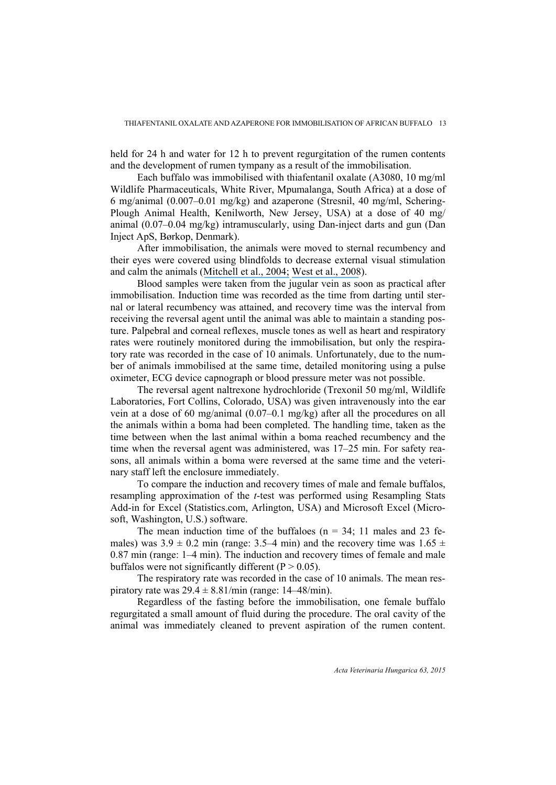held for 24 h and water for 12 h to prevent regurgitation of the rumen contents and the development of rumen tympany as a result of the immobilisation.

Each buffalo was immobilised with thiafentanil oxalate (A3080, 10 mg/ml Wildlife Pharmaceuticals, White River, Mpumalanga, South Africa) at a dose of 6 mg/animal (0.007–0.01 mg/kg) and azaperone (Stresnil, 40 mg/ml, Schering-Plough Animal Health, Kenilworth, New Jersey, USA) at a dose of 40 mg/ animal (0.07–0.04 mg/kg) intramuscularly, using Dan-inject darts and gun (Dan Inject ApS, Børkop, Denmark).

After immobilisation, the animals were moved to sternal recumbency and their eyes were covered using blindfolds to decrease external visual stimulation and calm the animals ([Mitchell et al., 2004;](https://www.researchgate.net/publication/248335801_The_effects_of_blindfolding_on_behavior_and_heart_rate_in_beef_cattle_during_restraint?el=1_x_8&enrichId=rgreq-90a361c02011b18cff76529c77557037-XXX&enrichSource=Y292ZXJQYWdlOzI3MjA3OTY5ODtBUzoyMDE0MjYyMjg3ODEwNjJAMTQyNTAzNTE2Mzk0NA==) [West et al., 2008](https://www.researchgate.net/publication/285355815_Zoo_Animal_and_Wildlife_Immobilization_and_Anesthesia?el=1_x_8&enrichId=rgreq-90a361c02011b18cff76529c77557037-XXX&enrichSource=Y292ZXJQYWdlOzI3MjA3OTY5ODtBUzoyMDE0MjYyMjg3ODEwNjJAMTQyNTAzNTE2Mzk0NA==)).

Blood samples were taken from the jugular vein as soon as practical after immobilisation. Induction time was recorded as the time from darting until sternal or lateral recumbency was attained, and recovery time was the interval from receiving the reversal agent until the animal was able to maintain a standing posture. Palpebral and corneal reflexes, muscle tones as well as heart and respiratory rates were routinely monitored during the immobilisation, but only the respiratory rate was recorded in the case of 10 animals. Unfortunately, due to the number of animals immobilised at the same time, detailed monitoring using a pulse oximeter, ECG device capnograph or blood pressure meter was not possible.

The reversal agent naltrexone hydrochloride (Trexonil 50 mg/ml, Wildlife Laboratories, Fort Collins, Colorado, USA) was given intravenously into the ear vein at a dose of 60 mg/animal (0.07–0.1 mg/kg) after all the procedures on all the animals within a boma had been completed. The handling time, taken as the time between when the last animal within a boma reached recumbency and the time when the reversal agent was administered, was 17–25 min. For safety reasons, all animals within a boma were reversed at the same time and the veterinary staff left the enclosure immediately.

To compare the induction and recovery times of male and female buffalos, resampling approximation of the *t*-test was performed using Resampling Stats Add-in for Excel (Statistics.com, Arlington, USA) and Microsoft Excel (Microsoft, Washington, U.S.) software.

The mean induction time of the buffaloes ( $n = 34$ ; 11 males and 23 females) was  $3.9 \pm 0.2$  min (range: 3.5–4 min) and the recovery time was  $1.65 \pm$ 0.87 min (range: 1–4 min). The induction and recovery times of female and male buffalos were not significantly different  $(P > 0.05)$ .

The respiratory rate was recorded in the case of 10 animals. The mean respiratory rate was  $29.4 \pm 8.81$ /min (range: 14–48/min).

Regardless of the fasting before the immobilisation, one female buffalo regurgitated a small amount of fluid during the procedure. The oral cavity of the animal was immediately cleaned to prevent aspiration of the rumen content.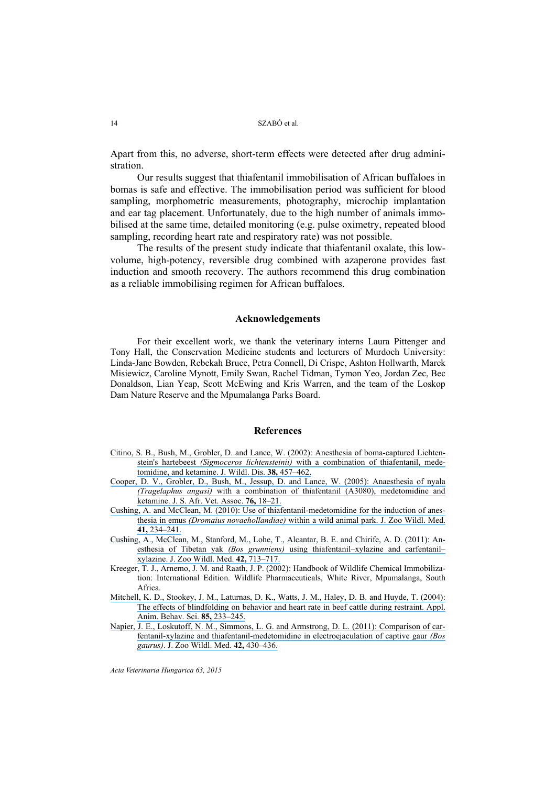## 14 SZABÓ et al.

Apart from this, no adverse, short-term effects were detected after drug administration.

Our results suggest that thiafentanil immobilisation of African buffaloes in bomas is safe and effective. The immobilisation period was sufficient for blood sampling, morphometric measurements, photography, microchip implantation and ear tag placement. Unfortunately, due to the high number of animals immobilised at the same time, detailed monitoring (e.g. pulse oximetry, repeated blood sampling, recording heart rate and respiratory rate) was not possible.

The results of the present study indicate that thiafentanil oxalate, this lowvolume, high-potency, reversible drug combined with azaperone provides fast induction and smooth recovery. The authors recommend this drug combination as a reliable immobilising regimen for African buffaloes.

#### **Acknowledgements**

For their excellent work, we thank the veterinary interns Laura Pittenger and Tony Hall, the Conservation Medicine students and lecturers of Murdoch University: Linda-Jane Bowden, Rebekah Bruce, Petra Connell, Di Crispe, Ashton Hollwarth, Marek Misiewicz, Caroline Mynott, Emily Swan, Rachel Tidman, Tymon Yeo, Jordan Zec, Bec Donaldson, Lian Yeap, Scott McEwing and Kris Warren, and the team of the Loskop Dam Nature Reserve and the Mpumalanga Parks Board.

### **References**

- [Citino, S. B., Bush, M., Grobler, D. and Lance, W. \(2002\): Anesthesia of boma-captured Lichten](https://www.researchgate.net/publication/11334926_Anesthesia_of_Boma-captured_Lichtenstein)stein's hartebeest *(Sigmoceros lichtensteinii)* [with a combination of thiafentanil, mede](https://www.researchgate.net/publication/11334926_Anesthesia_of_Boma-captured_Lichtenstein)[tomidine, and ketamine. J. Wildl. Dis.](https://www.researchgate.net/publication/11334926_Anesthesia_of_Boma-captured_Lichtenstein) **38,** 457–462.
- [Cooper, D. V., Grobler, D., Bush, M., Jessup, D. and Lance, W. \(2005\): Anaesthesia of nyala](https://www.researchgate.net/publication/7840481_Anaesthesia_of_nyala_Tragelaphus_angasi_with_a_combination_of_thiafentanil_A3080_medetomidine_and_ketamine?el=1_x_8&enrichId=rgreq-90a361c02011b18cff76529c77557037-XXX&enrichSource=Y292ZXJQYWdlOzI3MjA3OTY5ODtBUzoyMDE0MjYyMjg3ODEwNjJAMTQyNTAzNTE2Mzk0NA==) *(Tragelaphus angasi)* [with a combination of thiafentanil \(A3080\), medetomidine and](https://www.researchgate.net/publication/7840481_Anaesthesia_of_nyala_Tragelaphus_angasi_with_a_combination_of_thiafentanil_A3080_medetomidine_and_ketamine?el=1_x_8&enrichId=rgreq-90a361c02011b18cff76529c77557037-XXX&enrichSource=Y292ZXJQYWdlOzI3MjA3OTY5ODtBUzoyMDE0MjYyMjg3ODEwNjJAMTQyNTAzNTE2Mzk0NA==)  [ketamine. J. S. Afr. Vet. Assoc.](https://www.researchgate.net/publication/7840481_Anaesthesia_of_nyala_Tragelaphus_angasi_with_a_combination_of_thiafentanil_A3080_medetomidine_and_ketamine?el=1_x_8&enrichId=rgreq-90a361c02011b18cff76529c77557037-XXX&enrichSource=Y292ZXJQYWdlOzI3MjA3OTY5ODtBUzoyMDE0MjYyMjg3ODEwNjJAMTQyNTAzNTE2Mzk0NA==) **76,** 18–21.
- [Cushing, A. and McClean, M. \(2010\): Use of thiafentanil-medetomidine for the induction of anes](https://www.researchgate.net/publication/45088457_Use_of_Thiafentanil-Medetomidine_for_the_Induction_of_Anesthesia_in_Emus_Dromaius_novaehollandiae_Within_a_Wild_Animal_Park?el=1_x_8&enrichId=rgreq-90a361c02011b18cff76529c77557037-XXX&enrichSource=Y292ZXJQYWdlOzI3MjA3OTY5ODtBUzoyMDE0MjYyMjg3ODEwNjJAMTQyNTAzNTE2Mzk0NA==)thesia in emus *(Dromaius novaehollandiae)* [within a wild animal park. J. Zoo Wildl. Med.](https://www.researchgate.net/publication/45088457_Use_of_Thiafentanil-Medetomidine_for_the_Induction_of_Anesthesia_in_Emus_Dromaius_novaehollandiae_Within_a_Wild_Animal_Park?el=1_x_8&enrichId=rgreq-90a361c02011b18cff76529c77557037-XXX&enrichSource=Y292ZXJQYWdlOzI3MjA3OTY5ODtBUzoyMDE0MjYyMjg3ODEwNjJAMTQyNTAzNTE2Mzk0NA==) **41,** [234–241.](https://www.researchgate.net/publication/45088457_Use_of_Thiafentanil-Medetomidine_for_the_Induction_of_Anesthesia_in_Emus_Dromaius_novaehollandiae_Within_a_Wild_Animal_Park?el=1_x_8&enrichId=rgreq-90a361c02011b18cff76529c77557037-XXX&enrichSource=Y292ZXJQYWdlOzI3MjA3OTY5ODtBUzoyMDE0MjYyMjg3ODEwNjJAMTQyNTAzNTE2Mzk0NA==)
- [Cushing, A., McClean, M., Stanford, M., Lohe, T., Alcantar, B. E. and Chirife, A. D. \(2011\): An](https://www.researchgate.net/publication/51954426_Anesthesia_of_Tibetan_Yak_Bos_grunniens_Using_Thiafentanil_-_Xylazine_and_Carfentanil_-_Xylazine?el=1_x_8&enrichId=rgreq-90a361c02011b18cff76529c77557037-XXX&enrichSource=Y292ZXJQYWdlOzI3MjA3OTY5ODtBUzoyMDE0MjYyMjg3ODEwNjJAMTQyNTAzNTE2Mzk0NA==)esthesia of Tibetan yak *(Bos grunniens)* [using thiafentanil–xylazine and carfentanil–](https://www.researchgate.net/publication/51954426_Anesthesia_of_Tibetan_Yak_Bos_grunniens_Using_Thiafentanil_-_Xylazine_and_Carfentanil_-_Xylazine?el=1_x_8&enrichId=rgreq-90a361c02011b18cff76529c77557037-XXX&enrichSource=Y292ZXJQYWdlOzI3MjA3OTY5ODtBUzoyMDE0MjYyMjg3ODEwNjJAMTQyNTAzNTE2Mzk0NA==) [xylazine. J. Zoo Wildl. Med.](https://www.researchgate.net/publication/51954426_Anesthesia_of_Tibetan_Yak_Bos_grunniens_Using_Thiafentanil_-_Xylazine_and_Carfentanil_-_Xylazine?el=1_x_8&enrichId=rgreq-90a361c02011b18cff76529c77557037-XXX&enrichSource=Y292ZXJQYWdlOzI3MjA3OTY5ODtBUzoyMDE0MjYyMjg3ODEwNjJAMTQyNTAzNTE2Mzk0NA==) **42,** 713–717.
- Kreeger, T. J., Arnemo, J. M. and Raath, J. P. (2002): Handbook of Wildlife Chemical Immobilization: International Edition. Wildlife Pharmaceuticals, White River, Mpumalanga, South Africa.
- [Mitchell, K. D., Stookey, J. M., Laturnas, D. K., Watts, J. M., Haley, D. B. and Huyde, T. \(2004\):](https://www.researchgate.net/publication/248335801_The_effects_of_blindfolding_on_behavior_and_heart_rate_in_beef_cattle_during_restraint?el=1_x_8&enrichId=rgreq-90a361c02011b18cff76529c77557037-XXX&enrichSource=Y292ZXJQYWdlOzI3MjA3OTY5ODtBUzoyMDE0MjYyMjg3ODEwNjJAMTQyNTAzNTE2Mzk0NA==) [The effects of blindfolding on behavior and heart rate in beef cattle during restraint. Appl.](https://www.researchgate.net/publication/248335801_The_effects_of_blindfolding_on_behavior_and_heart_rate_in_beef_cattle_during_restraint?el=1_x_8&enrichId=rgreq-90a361c02011b18cff76529c77557037-XXX&enrichSource=Y292ZXJQYWdlOzI3MjA3OTY5ODtBUzoyMDE0MjYyMjg3ODEwNjJAMTQyNTAzNTE2Mzk0NA==) [Anim. Behav. Sci.](https://www.researchgate.net/publication/248335801_The_effects_of_blindfolding_on_behavior_and_heart_rate_in_beef_cattle_during_restraint?el=1_x_8&enrichId=rgreq-90a361c02011b18cff76529c77557037-XXX&enrichSource=Y292ZXJQYWdlOzI3MjA3OTY5ODtBUzoyMDE0MjYyMjg3ODEwNjJAMTQyNTAzNTE2Mzk0NA==) **85,** 233–245.
- [Napier, J. E., Loskutoff, N. M., Simmons, L. G. and Armstrong, D. L. \(2011\): Comparison of car](https://www.researchgate.net/publication/230806232_Comparison_of_Carfentanil-Xylazine_and_Thiafentanil-_Medetomidine_in_Electroejaculation_of_Captive_Gaur_Bos_gaurus?el=1_x_8&enrichId=rgreq-90a361c02011b18cff76529c77557037-XXX&enrichSource=Y292ZXJQYWdlOzI3MjA3OTY5ODtBUzoyMDE0MjYyMjg3ODEwNjJAMTQyNTAzNTE2Mzk0NA==)[fentanil-xylazine and thiafentanil-medetomidine in electroejaculation of captive gaur](https://www.researchgate.net/publication/230806232_Comparison_of_Carfentanil-Xylazine_and_Thiafentanil-_Medetomidine_in_Electroejaculation_of_Captive_Gaur_Bos_gaurus?el=1_x_8&enrichId=rgreq-90a361c02011b18cff76529c77557037-XXX&enrichSource=Y292ZXJQYWdlOzI3MjA3OTY5ODtBUzoyMDE0MjYyMjg3ODEwNjJAMTQyNTAzNTE2Mzk0NA==) *(Bos gaurus)*[. J. Zoo Wildl. Med.](https://www.researchgate.net/publication/230806232_Comparison_of_Carfentanil-Xylazine_and_Thiafentanil-_Medetomidine_in_Electroejaculation_of_Captive_Gaur_Bos_gaurus?el=1_x_8&enrichId=rgreq-90a361c02011b18cff76529c77557037-XXX&enrichSource=Y292ZXJQYWdlOzI3MjA3OTY5ODtBUzoyMDE0MjYyMjg3ODEwNjJAMTQyNTAzNTE2Mzk0NA==) **42,** 430–436.

*Acta Veterinaria Hungarica 63, 2015*